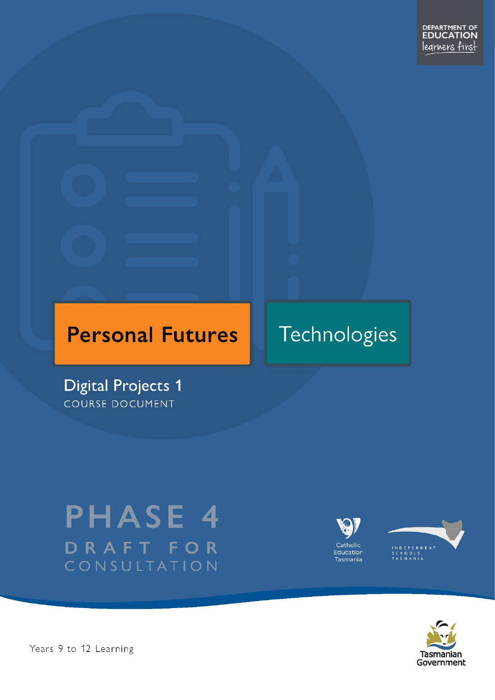# **Personal Futures**

# Technologies

**Digital Projects 1** COURSE DOCUMENT

# **PHASE 4** DRAFT FOR CONSULTATION







Years 9 to 12 Learning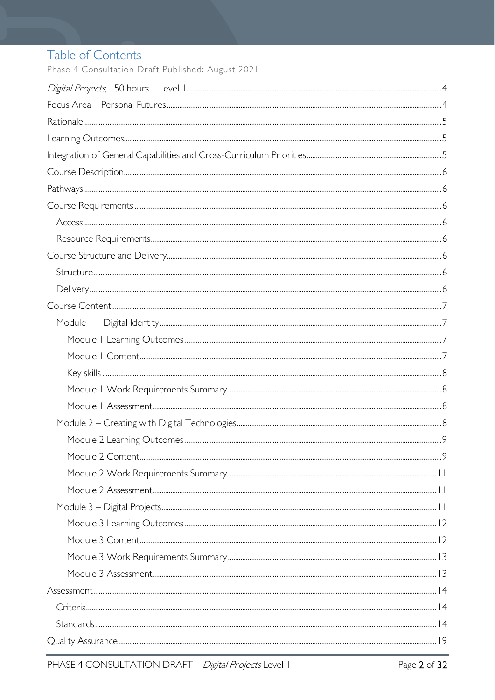# Table of Contents

Phase 4 Consultation Draft Published: August 2021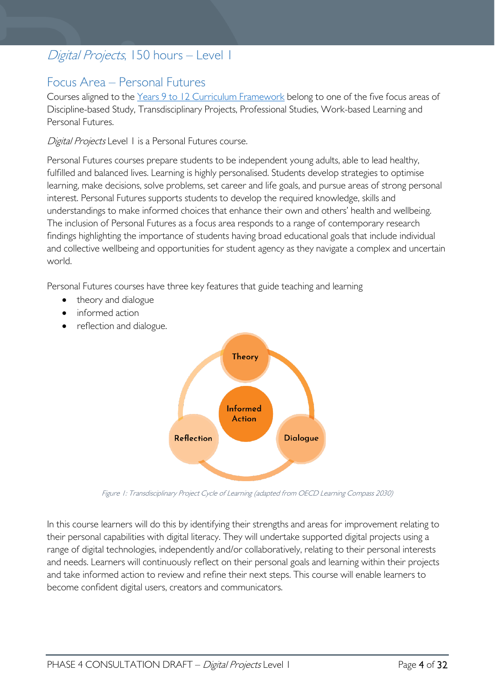# <span id="page-3-0"></span>Digital Projects, 150 hours - Level 1

# <span id="page-3-1"></span>Focus Area – Personal Futures

Courses aligned to the [Years 9 to 12 Curriculum Framework](https://publicdocumentcentre.education.tas.gov.au/library/Shared%20Documents/Education%209-12%20Frameworks%20A3%20WEB%20POSTER.pdf) belong to one of the five focus areas of Discipline-based Study, Transdisciplinary Projects, Professional Studies, Work-based Learning and Personal Futures.

Digital Projects Level 1 is a Personal Futures course.

Personal Futures courses prepare students to be independent young adults, able to lead healthy, fulfilled and balanced lives. Learning is highly personalised. Students develop strategies to optimise learning, make decisions, solve problems, set career and life goals, and pursue areas of strong personal interest. Personal Futures supports students to develop the required knowledge, skills and understandings to make informed choices that enhance their own and others' health and wellbeing. The inclusion of Personal Futures as a focus area responds to a range of contemporary research findings highlighting the importance of students having broad educational goals that include individual and collective wellbeing and opportunities for student agency as they navigate a complex and uncertain world.

Personal Futures courses have three key features that guide teaching and learning

- theory and dialogue
- informed action
- reflection and dialogue.



Figure 1: Transdisciplinary Project Cycle of Learning (adapted from OECD Learning Compass 2030)

In this course learners will do this by identifying their strengths and areas for improvement relating to their personal capabilities with digital literacy. They will undertake supported digital projects using a range of digital technologies, independently and/or collaboratively, relating to their personal interests and needs. Learners will continuously reflect on their personal goals and learning within their projects and take informed action to review and refine their next steps. This course will enable learners to become confident digital users, creators and communicators.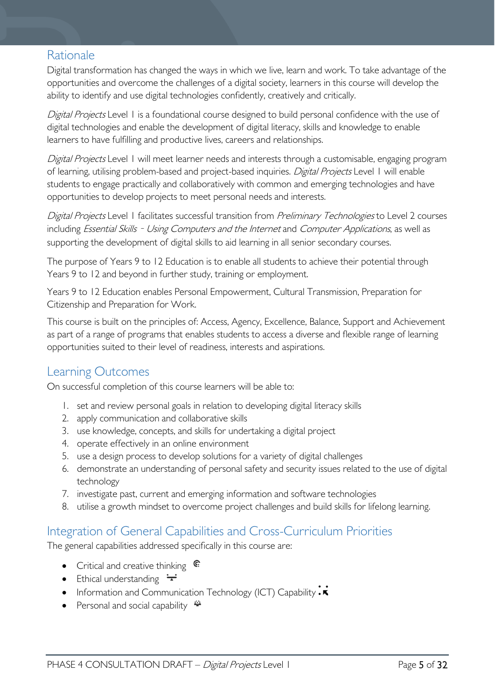# <span id="page-4-0"></span>Rationale

Digital transformation has changed the ways in which we live, learn and work. To take advantage of the opportunities and overcome the challenges of a digital society, learners in this course will develop the ability to identify and use digital technologies confidently, creatively and critically.

Digital Projects Level 1 is a foundational course designed to build personal confidence with the use of digital technologies and enable the development of digital literacy, skills and knowledge to enable learners to have fulfilling and productive lives, careers and relationships.

Digital Projects Level 1 will meet learner needs and interests through a customisable, engaging program of learning, utilising problem-based and project-based inquiries. Digital Projects Level 1 will enable students to engage practically and collaboratively with common and emerging technologies and have opportunities to develop projects to meet personal needs and interests.

Digital Projects Level 1 facilitates successful transition from Preliminary Technologies to Level 2 courses including Essential Skills - Using Computers and the Internet and Computer Applications, as well as supporting the development of digital skills to aid learning in all senior secondary courses.

The purpose of Years 9 to 12 Education is to enable all students to achieve their potential through Years 9 to 12 and beyond in further study, training or employment.

Years 9 to 12 Education enables Personal Empowerment, Cultural Transmission, Preparation for Citizenship and Preparation for Work.

This course is built on the principles of: Access, Agency, Excellence, Balance, Support and Achievement as part of a range of programs that enables students to access a diverse and flexible range of learning opportunities suited to their level of readiness, interests and aspirations.

# <span id="page-4-1"></span>Learning Outcomes

On successful completion of this course learners will be able to:

- 1. set and review personal goals in relation to developing digital literacy skills
- 2. apply communication and collaborative skills
- 3. use knowledge, concepts, and skills for undertaking a digital project
- 4. operate effectively in an online environment
- 5. use a design process to develop solutions for a variety of digital challenges
- 6. demonstrate an understanding of personal safety and security issues related to the use of digital technology
- 7. investigate past, current and emerging information and software technologies
- 8. utilise a growth mindset to overcome project challenges and build skills for lifelong learning.

# <span id="page-4-2"></span>Integration of General Capabilities and Cross-Curriculum Priorities

The general capabilities addressed specifically in this course are:

- Critical and creative thinking  $\mathbb{C}$
- Ethical understanding  $\div$
- Information and Communication Technology (ICT) Capability  $\cdot \star$
- Personal and social capability  $\ddot{\ddot{}}$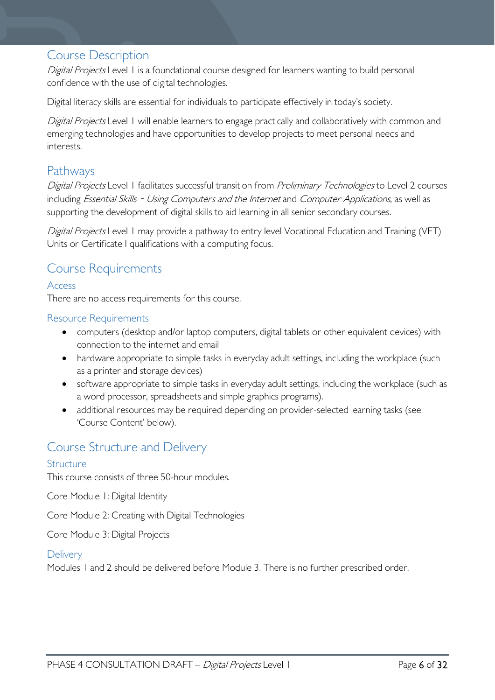# <span id="page-5-0"></span>Course Description

Digital Projects Level 1 is a foundational course designed for learners wanting to build personal confidence with the use of digital technologies.

Digital literacy skills are essential for individuals to participate effectively in today's society.

Digital Projects Level 1 will enable learners to engage practically and collaboratively with common and emerging technologies and have opportunities to develop projects to meet personal needs and interests.

# <span id="page-5-1"></span>Pathways

Digital Projects Level 1 facilitates successful transition from Preliminary Technologies to Level 2 courses including *Essential Skills - Using Computers and the Internet* and *Computer Applications*, as well as supporting the development of digital skills to aid learning in all senior secondary courses.

Digital Projects Level 1 may provide a pathway to entry level Vocational Education and Training (VET) Units or Certificate I qualifications with a computing focus.

# <span id="page-5-2"></span>Course Requirements

<span id="page-5-3"></span>Access

There are no access requirements for this course.

# <span id="page-5-4"></span>Resource Requirements

- computers (desktop and/or laptop computers, digital tablets or other equivalent devices) with connection to the internet and email
- hardware appropriate to simple tasks in everyday adult settings, including the workplace (such as a printer and storage devices)
- software appropriate to simple tasks in everyday adult settings, including the workplace (such as a word processor, spreadsheets and simple graphics programs).
- additional resources may be required depending on provider-selected learning tasks (see 'Course Content' below).

# <span id="page-5-5"></span>Course Structure and Delivery

# <span id="page-5-6"></span>Structure

This course consists of three 50-hour modules.

Core Module 1: Digital Identity

Core Module 2: Creating with Digital Technologies

Core Module 3: Digital Projects

# <span id="page-5-7"></span>**Delivery**

Modules 1 and 2 should be delivered before Module 3. There is no further prescribed order.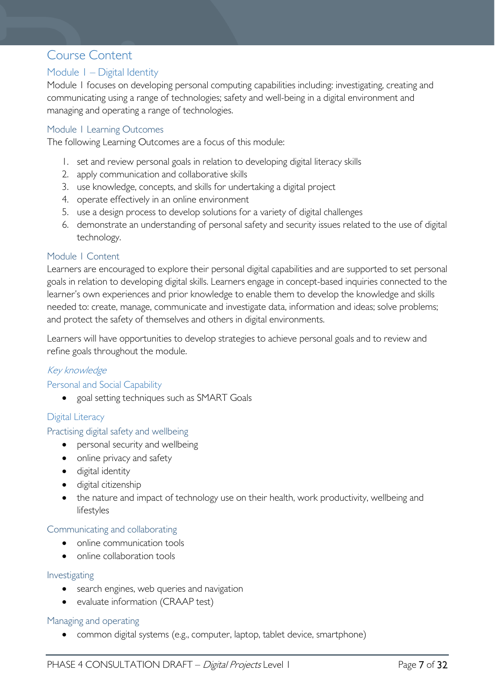# <span id="page-6-0"></span>Course Content

# <span id="page-6-1"></span>Module 1 – Digital Identity

Module 1 focuses on developing personal computing capabilities including: investigating, creating and communicating using a range of technologies; safety and well-being in a digital environment and managing and operating a range of technologies.

# <span id="page-6-2"></span>Module 1 Learning Outcomes

The following Learning Outcomes are a focus of this module:

- 1. set and review personal goals in relation to developing digital literacy skills
- 2. apply communication and collaborative skills
- 3. use knowledge, concepts, and skills for undertaking a digital project
- 4. operate effectively in an online environment
- 5. use a design process to develop solutions for a variety of digital challenges
- 6. demonstrate an understanding of personal safety and security issues related to the use of digital technology.

#### <span id="page-6-3"></span>Module 1 Content

Learners are encouraged to explore their personal digital capabilities and are supported to set personal goals in relation to developing digital skills. Learners engage in concept-based inquiries connected to the learner's own experiences and prior knowledge to enable them to develop the knowledge and skills needed to: create, manage, communicate and investigate data, information and ideas; solve problems; and protect the safety of themselves and others in digital environments.

Learners will have opportunities to develop strategies to achieve personal goals and to review and refine goals throughout the module.

# Key knowledge

#### Personal and Social Capability

• goal setting techniques such as SMART Goals

# Digital Literacy

#### Practising digital safety and wellbeing

- personal security and wellbeing
- online privacy and safety
- digital identity
- digital citizenship
- the nature and impact of technology use on their health, work productivity, wellbeing and lifestyles

#### Communicating and collaborating

- online communication tools
- online collaboration tools

#### Investigating

- search engines, web queries and navigation
- evaluate information (CRAAP test)

#### Managing and operating

• common digital systems (e.g., computer, laptop, tablet device, smartphone)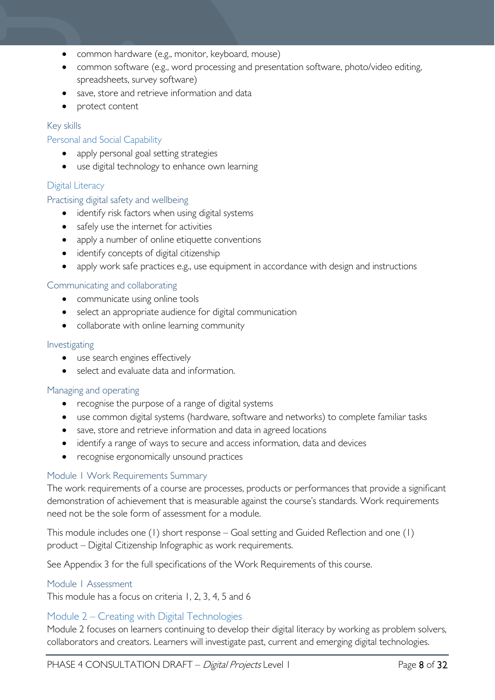- common hardware (e.g., monitor, keyboard, mouse)
- common software (e.g., word processing and presentation software, photo/video editing, spreadsheets, survey software)
- save, store and retrieve information and data
- protect content

### <span id="page-7-0"></span>Key skills

#### Personal and Social Capability

- apply personal goal setting strategies
- use digital technology to enhance own learning

# Digital Literacy

#### Practising digital safety and wellbeing

- identify risk factors when using digital systems
- safely use the internet for activities
- apply a number of online etiquette conventions
- identify concepts of digital citizenship
- apply work safe practices e.g., use equipment in accordance with design and instructions

# Communicating and collaborating

- communicate using online tools
- select an appropriate audience for digital communication
- collaborate with online learning community

#### Investigating

- use search engines effectively
- select and evaluate data and information.

#### Managing and operating

- recognise the purpose of a range of digital systems
- use common digital systems (hardware, software and networks) to complete familiar tasks
- save, store and retrieve information and data in agreed locations
- identify a range of ways to secure and access information, data and devices
- recognise ergonomically unsound practices

# <span id="page-7-1"></span>Module 1 Work Requirements Summary

The work requirements of a course are processes, products or performances that provide a significant demonstration of achievement that is measurable against the course's standards. Work requirements need not be the sole form of assessment for a module.

This module includes one (1) short response – Goal setting and Guided Reflection and one (1) product – Digital Citizenship Infographic as work requirements.

See Appendix 3 for the full specifications of the Work Requirements of this course.

#### <span id="page-7-2"></span>Module 1 Assessment

This module has a focus on criteria 1, 2, 3, 4, 5 and 6

# <span id="page-7-3"></span>Module 2 – Creating with Digital Technologies

Module 2 focuses on learners continuing to develop their digital literacy by working as problem solvers, collaborators and creators. Learners will investigate past, current and emerging digital technologies.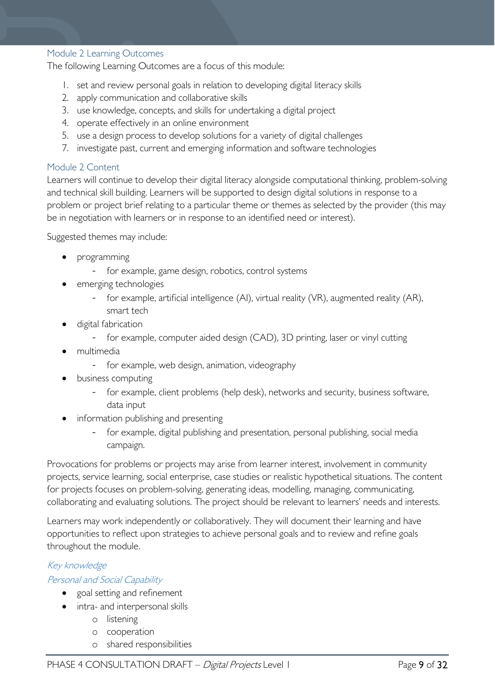#### <span id="page-8-0"></span>Module 2 Learning Outcomes

The following Learning Outcomes are a focus of this module:

- 1. set and review personal goals in relation to developing digital literacy skills
- 2. apply communication and collaborative skills
- 3. use knowledge, concepts, and skills for undertaking a digital project
- 4. operate effectively in an online environment
- 5. use a design process to develop solutions for a variety of digital challenges
- 7. investigate past, current and emerging information and software technologies

#### <span id="page-8-1"></span>Module 2 Content

Learners will continue to develop their digital literacy alongside computational thinking, problem-solving and technical skill building. Learners will be supported to design digital solutions in response to a problem or project brief relating to a particular theme or themes as selected by the provider (this may be in negotiation with learners or in response to an identified need or interest).

Suggested themes may include:

- programming
	- for example, game design, robotics, control systems
- emerging technologies
	- for example, artificial intelligence (AI), virtual reality (VR), augmented reality (AR), smart tech
- digital fabrication
	- for example, computer aided design (CAD), 3D printing, laser or vinyl cutting
- multimedia
	- for example, web design, animation, videography
- business computing
	- for example, client problems (help desk), networks and security, business software, data input
- information publishing and presenting
	- for example, digital publishing and presentation, personal publishing, social media campaign.

Provocations for problems or projects may arise from learner interest, involvement in community projects, service learning, social enterprise, case studies or realistic hypothetical situations. The content for projects focuses on problem-solving, generating ideas, modelling, managing, communicating, collaborating and evaluating solutions. The project should be relevant to learners' needs and interests.

Learners may work independently or collaboratively. They will document their learning and have opportunities to reflect upon strategies to achieve personal goals and to review and refine goals throughout the module.

# Key knowledge

# Personal and Social Capability

- goal setting and refinement
- intra- and interpersonal skills
	- o listening
	- o cooperation
	- o shared responsibilities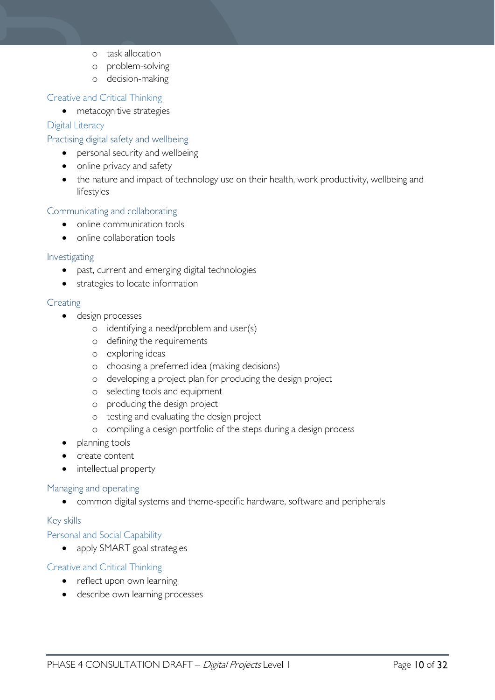- o task allocation
- o problem-solving
- o decision-making

# Creative and Critical Thinking

• metacognitive strategies

# Digital Literacy

# Practising digital safety and wellbeing

- personal security and wellbeing
- online privacy and safety
- the nature and impact of technology use on their health, work productivity, wellbeing and lifestyles

# Communicating and collaborating

- online communication tools
- online collaboration tools

#### Investigating

- past, current and emerging digital technologies
- strategies to locate information

# **Creating**

- design processes
	- o identifying a need/problem and user(s)
	- o defining the requirements
	- o exploring ideas
	- o choosing a preferred idea (making decisions)
	- o developing a project plan for producing the design project
	- o selecting tools and equipment
	- o producing the design project
	- o testing and evaluating the design project
	- o compiling a design portfolio of the steps during a design process
- planning tools
- create content
- intellectual property

#### Managing and operating

• common digital systems and theme-specific hardware, software and peripherals

# Key skills

# Personal and Social Capability

• apply SMART goal strategies

# Creative and Critical Thinking

- reflect upon own learning
- describe own learning processes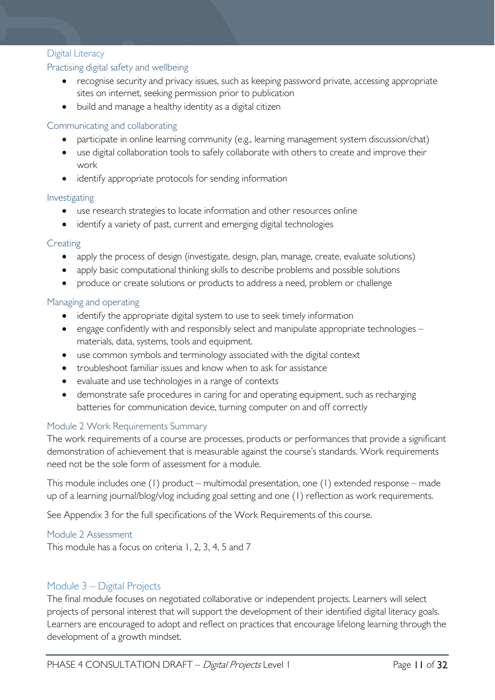# Digital Literacy

# Practising digital safety and wellbeing

- recognise security and privacy issues, such as keeping password private, accessing appropriate sites on internet, seeking permission prior to publication
- build and manage a healthy identity as a digital citizen

# Communicating and collaborating

- participate in online learning community (e.g., learning management system discussion/chat)
- use digital collaboration tools to safely collaborate with others to create and improve their work
- identify appropriate protocols for sending information

# Investigating

- use research strategies to locate information and other resources online
- identify a variety of past, current and emerging digital technologies

# **Creating**

- apply the process of design (investigate, design, plan, manage, create, evaluate solutions)
- apply basic computational thinking skills to describe problems and possible solutions
- produce or create solutions or products to address a need, problem or challenge

# Managing and operating

- identify the appropriate digital system to use to seek timely information
- engage confidently with and responsibly select and manipulate appropriate technologies materials, data, systems, tools and equipment.
- use common symbols and terminology associated with the digital context
- troubleshoot familiar issues and know when to ask for assistance
- evaluate and use technologies in a range of contexts
- demonstrate safe procedures in caring for and operating equipment, such as recharging batteries for communication device, turning computer on and off correctly

# <span id="page-10-0"></span>Module 2 Work Requirements Summary

The work requirements of a course are processes, products or performances that provide a significant demonstration of achievement that is measurable against the course's standards. Work requirements need not be the sole form of assessment for a module.

This module includes one (1) product – multimodal presentation, one (1) extended response – made up of a learning journal/blog/vlog including goal setting and one (1) reflection as work requirements.

See Appendix 3 for the full specifications of the Work Requirements of this course.

# <span id="page-10-1"></span>Module 2 Assessment

This module has a focus on criteria 1, 2, 3, 4, 5 and 7

# <span id="page-10-2"></span>Module 3 – Digital Projects

The final module focuses on negotiated collaborative or independent projects. Learners will select projects of personal interest that will support the development of their identified digital literacy goals. Learners are encouraged to adopt and reflect on practices that encourage lifelong learning through the development of a growth mindset.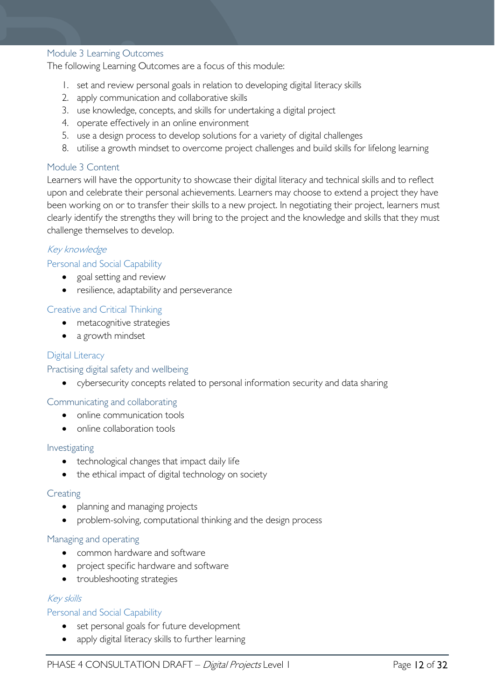#### <span id="page-11-0"></span>Module 3 Learning Outcomes

The following Learning Outcomes are a focus of this module:

- 1. set and review personal goals in relation to developing digital literacy skills
- 2. apply communication and collaborative skills
- 3. use knowledge, concepts, and skills for undertaking a digital project
- 4. operate effectively in an online environment
- 5. use a design process to develop solutions for a variety of digital challenges
- 8. utilise a growth mindset to overcome project challenges and build skills for lifelong learning

#### <span id="page-11-1"></span>Module 3 Content

Learners will have the opportunity to showcase their digital literacy and technical skills and to reflect upon and celebrate their personal achievements. Learners may choose to extend a project they have been working on or to transfer their skills to a new project. In negotiating their project, learners must clearly identify the strengths they will bring to the project and the knowledge and skills that they must challenge themselves to develop.

### Key knowledge

#### Personal and Social Capability

- goal setting and review
- resilience, adaptability and perseverance

#### Creative and Critical Thinking

- metacognitive strategies
- a growth mindset

### Digital Literacy

#### Practising digital safety and wellbeing

• cybersecurity concepts related to personal information security and data sharing

# Communicating and collaborating

- online communication tools
- online collaboration tools

#### Investigating

- technological changes that impact daily life
- the ethical impact of digital technology on society

#### **Creating**

- planning and managing projects
- problem-solving, computational thinking and the design process

#### Managing and operating

- common hardware and software
- project specific hardware and software
- troubleshooting strategies

# Key skills

#### Personal and Social Capability

- set personal goals for future development
- apply digital literacy skills to further learning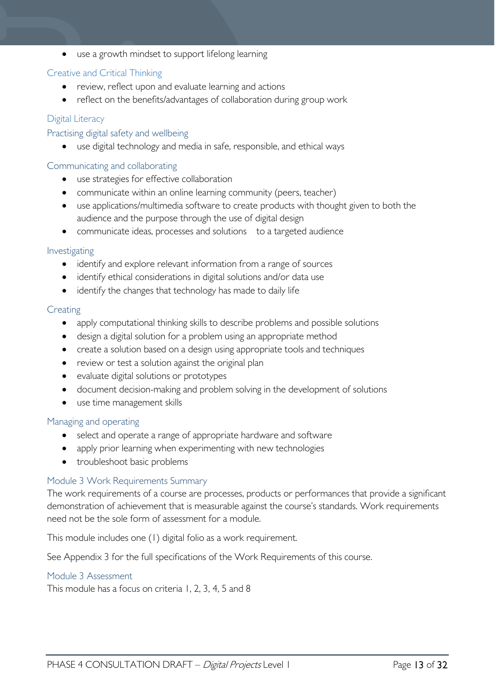• use a growth mindset to support lifelong learning

### Creative and Critical Thinking

- review, reflect upon and evaluate learning and actions
- reflect on the benefits/advantages of collaboration during group work

# Digital Literacy

Practising digital safety and wellbeing

use digital technology and media in safe, responsible, and ethical ways

#### Communicating and collaborating

- use strategies for effective collaboration
- communicate within an online learning community (peers, teacher)
- use applications/multimedia software to create products with thought given to both the audience and the purpose through the use of digital design
- communicate ideas, processes and solutions to a targeted audience

#### Investigating

- identify and explore relevant information from a range of sources
- identify ethical considerations in digital solutions and/or data use
- identify the changes that technology has made to daily life

#### **Creating**

- apply computational thinking skills to describe problems and possible solutions
- design a digital solution for a problem using an appropriate method
- create a solution based on a design using appropriate tools and techniques
- review or test a solution against the original plan
- evaluate digital solutions or prototypes
- document decision-making and problem solving in the development of solutions
- use time management skills

#### Managing and operating

- select and operate a range of appropriate hardware and software
- apply prior learning when experimenting with new technologies
- troubleshoot basic problems

#### <span id="page-12-0"></span>Module 3 Work Requirements Summary

The work requirements of a course are processes, products or performances that provide a significant demonstration of achievement that is measurable against the course's standards. Work requirements need not be the sole form of assessment for a module.

This module includes one (1) digital folio as a work requirement.

See Appendix 3 for the full specifications of the Work Requirements of this course.

#### <span id="page-12-1"></span>Module 3 Assessment

This module has a focus on criteria 1, 2, 3, 4, 5 and 8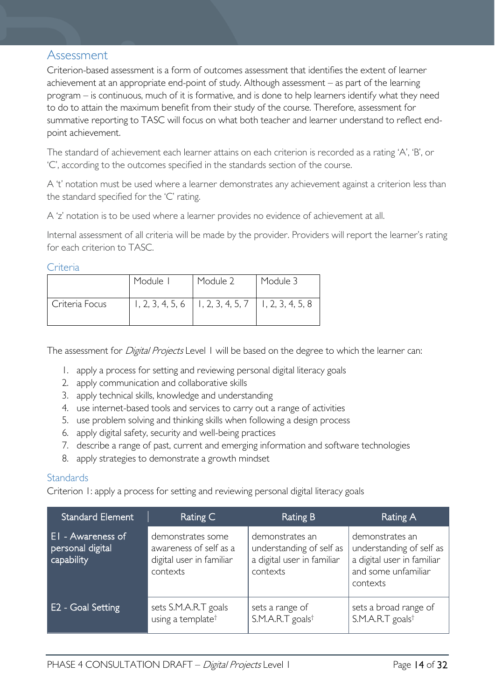# <span id="page-13-0"></span>Assessment

Criterion-based assessment is a form of outcomes assessment that identifies the extent of learner achievement at an appropriate end-point of study. Although assessment – as part of the learning program – is continuous, much of it is formative, and is done to help learners identify what they need to do to attain the maximum benefit from their study of the course. Therefore, assessment for summative reporting to TASC will focus on what both teacher and learner understand to reflect endpoint achievement.

The standard of achievement each learner attains on each criterion is recorded as a rating 'A', 'B', or 'C', according to the outcomes specified in the standards section of the course.

A 't' notation must be used where a learner demonstrates any achievement against a criterion less than the standard specified for the 'C' rating.

A 'z' notation is to be used where a learner provides no evidence of achievement at all.

Internal assessment of all criteria will be made by the provider. Providers will report the learner's rating for each criterion to TASC.

# <span id="page-13-1"></span>**Criteria**

|                | Module I | Module 2                                                 | Module 3 |
|----------------|----------|----------------------------------------------------------|----------|
| Criteria Focus |          | $1, 2, 3, 4, 5, 6$   1, 2, 3, 4, 5, 7   1, 2, 3, 4, 5, 8 |          |

The assessment for *Digital Projects* Level 1 will be based on the degree to which the learner can:

- 1. apply a process for setting and reviewing personal digital literacy goals
- 2. apply communication and collaborative skills
- 3. apply technical skills, knowledge and understanding
- 4. use internet-based tools and services to carry out a range of activities
- 5. use problem solving and thinking skills when following a design process
- 6. apply digital safety, security and well-being practices
- 7. describe a range of past, current and emerging information and software technologies
- 8. apply strategies to demonstrate a growth mindset

# <span id="page-13-2"></span>**Standards**

Criterion 1: apply a process for setting and reviewing personal digital literacy goals

| <b>Standard Element</b>                                    | Rating C                                                                            | Rating B                                                                              | Rating A                                                                                                     |
|------------------------------------------------------------|-------------------------------------------------------------------------------------|---------------------------------------------------------------------------------------|--------------------------------------------------------------------------------------------------------------|
| <b>El</b> - Awareness of<br>personal digital<br>capability | demonstrates some<br>awareness of self as a<br>digital user in familiar<br>contexts | demonstrates an<br>understanding of self as<br>a digital user in familiar<br>contexts | demonstrates an<br>understanding of self as<br>a digital user in familiar<br>and some unfamiliar<br>contexts |
| E2 - Goal Setting                                          | sets S.M.A.R.T goals<br>using a template <sup>†</sup>                               | sets a range of<br>S.M.A.R.T goals <sup>t</sup>                                       | sets a broad range of<br>S.M.A.R.T goals <sup>†</sup>                                                        |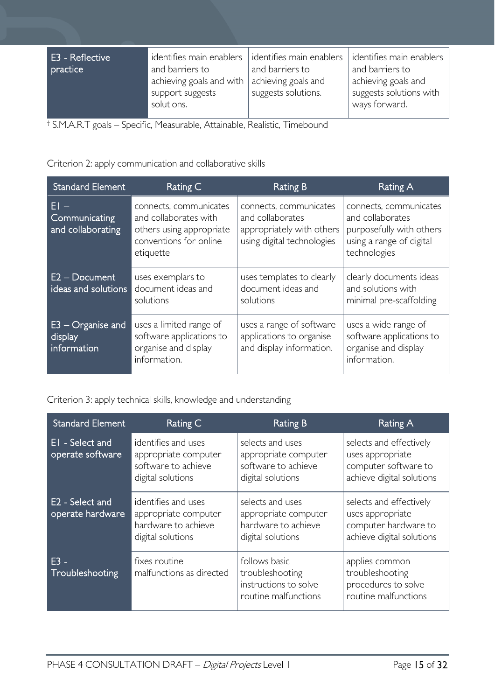| E3 - Reflective | identifies main enablers                                       | identifies main enablers                   | identifies main enablers                                        |
|-----------------|----------------------------------------------------------------|--------------------------------------------|-----------------------------------------------------------------|
| practice        | and barriers to                                                | and barriers to                            | and barriers to                                                 |
|                 | achieving goals and with $ $<br>support suggests<br>solutions. | achieving goals and<br>suggests solutions. | achieving goals and<br>suggests solutions with<br>ways forward. |

† S.M.A.R.T goals – Specific, Measurable, Attainable, Realistic, Timebound

Criterion 2: apply communication and collaborative skills

| <b>Standard Element</b>                       | Rating C                                                                                                           | <b>Rating B</b>                                                                                       | Rating A                                                                                                           |
|-----------------------------------------------|--------------------------------------------------------------------------------------------------------------------|-------------------------------------------------------------------------------------------------------|--------------------------------------------------------------------------------------------------------------------|
| EI –<br>Communicating<br>and collaborating    | connects, communicates<br>and collaborates with<br>others using appropriate<br>conventions for online<br>etiquette | connects, communicates<br>and collaborates<br>appropriately with others<br>using digital technologies | connects, communicates<br>and collaborates<br>purposefully with others<br>using a range of digital<br>technologies |
| $E2 - Document$<br>ideas and solutions        | uses exemplars to<br>document ideas and<br>solutions                                                               | uses templates to clearly<br>document ideas and<br>solutions                                          | clearly documents ideas<br>and solutions with<br>minimal pre-scaffolding                                           |
| $E3 -$ Organise and<br>display<br>information | uses a limited range of<br>software applications to<br>organise and display<br>information.                        | uses a range of software<br>applications to organise<br>and display information.                      | uses a wide range of<br>software applications to<br>organise and display<br>information.                           |

Criterion 3: apply technical skills, knowledge and understanding

| <b>Standard Element</b>             | Rating C                                                                                | <b>Rating B</b>                                                                      | Rating A                                                                                         |
|-------------------------------------|-----------------------------------------------------------------------------------------|--------------------------------------------------------------------------------------|--------------------------------------------------------------------------------------------------|
| EI - Select and<br>operate software | identifies and uses<br>appropriate computer<br>software to achieve<br>digital solutions | selects and uses<br>appropriate computer<br>software to achieve<br>digital solutions | selects and effectively<br>uses appropriate<br>computer software to<br>achieve digital solutions |
| E2 - Select and<br>operate hardware | identifies and uses<br>appropriate computer<br>hardware to achieve<br>digital solutions | selects and uses<br>appropriate computer<br>hardware to achieve<br>digital solutions | selects and effectively<br>uses appropriate<br>computer hardware to<br>achieve digital solutions |
| $F3 -$<br>Troubleshooting           | fixes routine<br>malfunctions as directed                                               | follows basic<br>troubleshooting<br>instructions to solve<br>routine malfunctions    | applies common<br>troubleshooting<br>procedures to solve<br>routine malfunctions                 |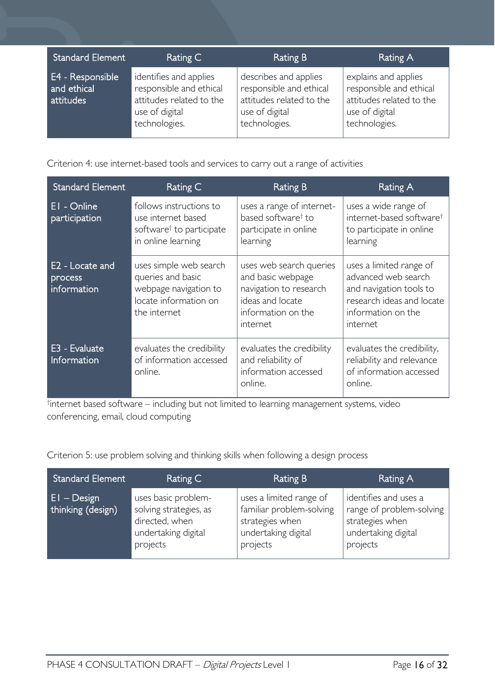| <b>Standard Element</b>                      | Rating C                                                                                                         | Rating B                                                                                                        | Rating A                                                                                                       |
|----------------------------------------------|------------------------------------------------------------------------------------------------------------------|-----------------------------------------------------------------------------------------------------------------|----------------------------------------------------------------------------------------------------------------|
| E4 - Responsible<br>and ethical<br>attitudes | identifies and applies<br>responsible and ethical<br>attitudes related to the<br>use of digital<br>technologies. | describes and applies<br>responsible and ethical<br>attitudes related to the<br>use of digital<br>technologies. | explains and applies<br>responsible and ethical<br>attitudes related to the<br>use of digital<br>technologies. |

Criterion 4: use internet-based tools and services to carry out a range of activities

| <b>Standard Element</b>                   | Rating C                                                                                                      | <b>Rating B</b>                                                                                                              | Rating A                                                                                                                                 |
|-------------------------------------------|---------------------------------------------------------------------------------------------------------------|------------------------------------------------------------------------------------------------------------------------------|------------------------------------------------------------------------------------------------------------------------------------------|
| EI - Online<br>participation              | follows instructions to<br>use internet based<br>software <sup>†</sup> to participate<br>in online learning   | uses a range of internet-<br>based software <sup>†</sup> to<br>participate in online<br>learning                             | uses a wide range of<br>internet-based software <sup>t</sup><br>to participate in online<br>learning                                     |
| E2 - Locate and<br>process<br>information | uses simple web search<br>queries and basic<br>webpage navigation to<br>locate information on<br>the internet | uses web search queries<br>and basic webpage<br>navigation to research<br>ideas and locate<br>information on the<br>internet | uses a limited range of<br>advanced web search<br>and navigation tools to<br>research ideas and locate<br>information on the<br>internet |
| E3 - Evaluate<br>Information              | evaluates the credibility<br>of information accessed<br>online.                                               | evaluates the credibility<br>and reliability of<br>information accessed<br>online.                                           | evaluates the credibility,<br>reliability and relevance<br>of information accessed<br>online.                                            |

† internet based software – including but not limited to learning management systems, video conferencing, email, cloud computing

Criterion 5: use problem solving and thinking skills when following a design process

| <b>Standard Element</b>            | Rating C                                                                                           | <b>Rating B</b>                                                                                           | Rating A                                                                                                |
|------------------------------------|----------------------------------------------------------------------------------------------------|-----------------------------------------------------------------------------------------------------------|---------------------------------------------------------------------------------------------------------|
| $EI - Design$<br>thinking (design) | uses basic problem-<br>solving strategies, as<br>directed, when<br>undertaking digital<br>projects | uses a limited range of<br>familiar problem-solving<br>strategies when<br>undertaking digital<br>projects | identifies and uses a<br>range of problem-solving<br>strategies when<br>undertaking digital<br>projects |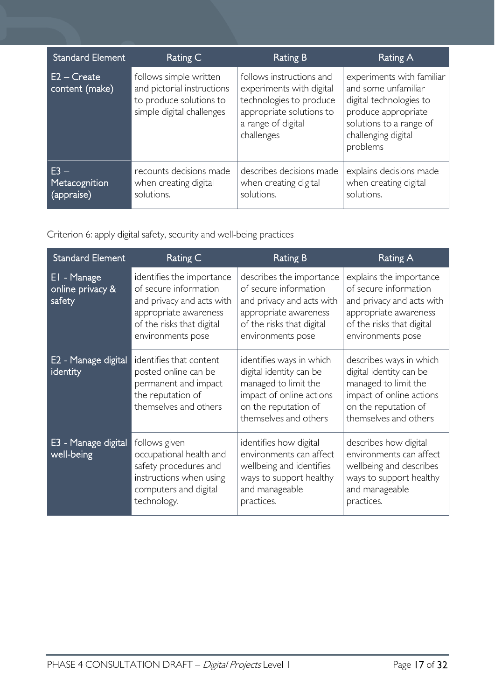| <b>Standard Element</b>               | Rating C                                                                                                     | Rating B                                                                                                                                        | Rating A                                                                                                                                                         |
|---------------------------------------|--------------------------------------------------------------------------------------------------------------|-------------------------------------------------------------------------------------------------------------------------------------------------|------------------------------------------------------------------------------------------------------------------------------------------------------------------|
| $E2 - Create$<br>content (make)       | follows simple written<br>and pictorial instructions<br>to produce solutions to<br>simple digital challenges | follows instructions and<br>experiments with digital<br>technologies to produce<br>appropriate solutions to<br>a range of digital<br>challenges | experiments with familiar<br>and some unfamiliar<br>digital technologies to<br>produce appropriate<br>solutions to a range of<br>challenging digital<br>problems |
| $E3 -$<br>Metacognition<br>(appraise) | recounts decisions made<br>when creating digital<br>solutions.                                               | describes decisions made<br>when creating digital<br>solutions.                                                                                 | explains decisions made<br>when creating digital<br>solutions.                                                                                                   |

Criterion 6: apply digital safety, security and well-being practices

| <b>Standard Element</b>                   | Rating C                                                                                                                                                   | <b>Rating B</b>                                                                                                                                           | <b>Rating A</b>                                                                                                                                          |
|-------------------------------------------|------------------------------------------------------------------------------------------------------------------------------------------------------------|-----------------------------------------------------------------------------------------------------------------------------------------------------------|----------------------------------------------------------------------------------------------------------------------------------------------------------|
| EI - Manage<br>online privacy &<br>safety | identifies the importance<br>of secure information<br>and privacy and acts with<br>appropriate awareness<br>of the risks that digital<br>environments pose | describes the importance<br>of secure information<br>and privacy and acts with<br>appropriate awareness<br>of the risks that digital<br>environments pose | explains the importance<br>of secure information<br>and privacy and acts with<br>appropriate awareness<br>of the risks that digital<br>environments pose |
| E2 - Manage digital<br>identity           | identifies that content<br>posted online can be<br>permanent and impact<br>the reputation of<br>themselves and others                                      | identifies ways in which<br>digital identity can be<br>managed to limit the<br>impact of online actions<br>on the reputation of<br>themselves and others  | describes ways in which<br>digital identity can be<br>managed to limit the<br>impact of online actions<br>on the reputation of<br>themselves and others  |
| E3 - Manage digital<br>well-being         | follows given<br>occupational health and<br>safety procedures and<br>instructions when using<br>computers and digital<br>technology.                       | identifies how digital<br>environments can affect<br>wellbeing and identifies<br>ways to support healthy<br>and manageable<br>practices.                  | describes how digital<br>environments can affect<br>wellbeing and describes<br>ways to support healthy<br>and manageable<br>practices.                   |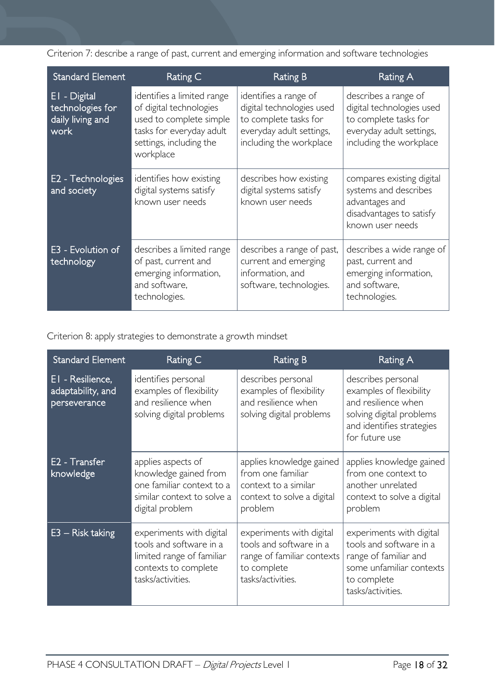Criterion 7: describe a range of past, current and emerging information and software technologies

| Standard Element                                             | Rating C                                                                                                                                             | Rating B                                                                                                                           | Rating A                                                                                                                          |
|--------------------------------------------------------------|------------------------------------------------------------------------------------------------------------------------------------------------------|------------------------------------------------------------------------------------------------------------------------------------|-----------------------------------------------------------------------------------------------------------------------------------|
| EI - Digital<br>technologies for<br>daily living and<br>work | identifies a limited range<br>of digital technologies<br>used to complete simple<br>tasks for everyday adult<br>settings, including the<br>workplace | identifies a range of<br>digital technologies used<br>to complete tasks for<br>everyday adult settings,<br>including the workplace | describes a range of<br>digital technologies used<br>to complete tasks for<br>everyday adult settings,<br>including the workplace |
| E <sub>2</sub> - Technologies<br>and society                 | identifies how existing<br>digital systems satisfy<br>known user needs                                                                               | describes how existing<br>digital systems satisfy<br>known user needs                                                              | compares existing digital<br>systems and describes<br>advantages and<br>disadvantages to satisfy<br>known user needs              |
| E3 - Evolution of<br>technology                              | describes a limited range<br>of past, current and<br>emerging information,<br>and software.<br>technologies.                                         | describes a range of past,<br>current and emerging<br>information, and<br>software, technologies.                                  | describes a wide range of<br>past, current and<br>emerging information,<br>and software,<br>technologies.                         |

Criterion 8: apply strategies to demonstrate a growth mindset

| <b>Standard Element</b>                               | Rating C                                                                                                                      | <b>Rating B</b>                                                                                                       | <b>Rating A</b>                                                                                                                                 |
|-------------------------------------------------------|-------------------------------------------------------------------------------------------------------------------------------|-----------------------------------------------------------------------------------------------------------------------|-------------------------------------------------------------------------------------------------------------------------------------------------|
| EI - Resilience,<br>adaptability, and<br>perseverance | identifies personal<br>examples of flexibility<br>and resilience when<br>solving digital problems                             | describes personal<br>examples of flexibility<br>and resilience when<br>solving digital problems                      | describes personal<br>examples of flexibility<br>and resilience when<br>solving digital problems<br>and identifies strategies<br>for future use |
| E <sub>2</sub> - Transfer<br>knowledge                | applies aspects of<br>knowledge gained from<br>one familiar context to a<br>similar context to solve a<br>digital problem     | applies knowledge gained<br>from one familiar<br>context to a similar<br>context to solve a digital<br>problem        | applies knowledge gained<br>from one context to<br>another unrelated<br>context to solve a digital<br>problem                                   |
| $E3 -$ Risk taking                                    | experiments with digital<br>tools and software in a<br>limited range of familiar<br>contexts to complete<br>tasks/activities. | experiments with digital<br>tools and software in a<br>range of familiar contexts<br>to complete<br>tasks/activities. | experiments with digital<br>tools and software in a<br>range of familiar and<br>some unfamiliar contexts<br>to complete<br>tasks/activities.    |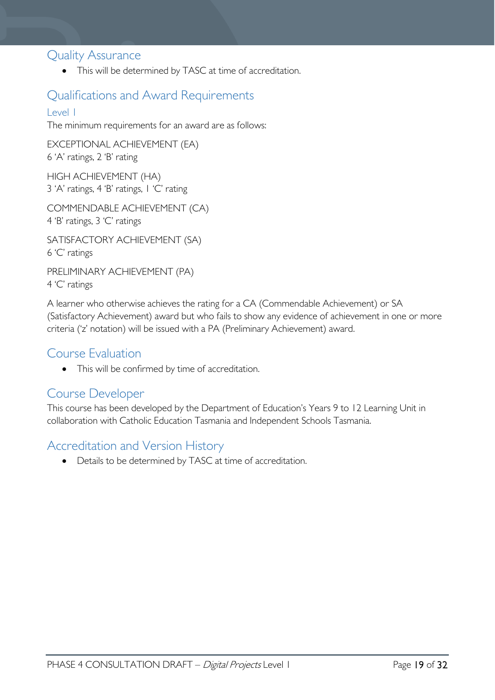# <span id="page-18-0"></span>Quality Assurance

• This will be determined by TASC at time of accreditation.

# <span id="page-18-1"></span>Qualifications and Award Requirements

# <span id="page-18-2"></span>Level 1

The minimum requirements for an award are as follows:

EXCEPTIONAL ACHIEVEMENT (EA) 6 'A' ratings, 2 'B' rating

HIGH ACHIEVEMENT (HA) 3 'A' ratings, 4 'B' ratings, 1 'C' rating

COMMENDABLE ACHIEVEMENT (CA) 4 'B' ratings, 3 'C' ratings

SATISFACTORY ACHIEVEMENT (SA) 6 'C' ratings

PRELIMINARY ACHIEVEMENT (PA) 4 'C' ratings

A learner who otherwise achieves the rating for a CA (Commendable Achievement) or SA (Satisfactory Achievement) award but who fails to show any evidence of achievement in one or more criteria ('z' notation) will be issued with a PA (Preliminary Achievement) award.

# <span id="page-18-3"></span>Course Evaluation

• This will be confirmed by time of accreditation.

# <span id="page-18-4"></span>Course Developer

This course has been developed by the Department of Education's Years 9 to 12 Learning Unit in collaboration with Catholic Education Tasmania and Independent Schools Tasmania.

# <span id="page-18-5"></span>Accreditation and Version History

• Details to be determined by TASC at time of accreditation.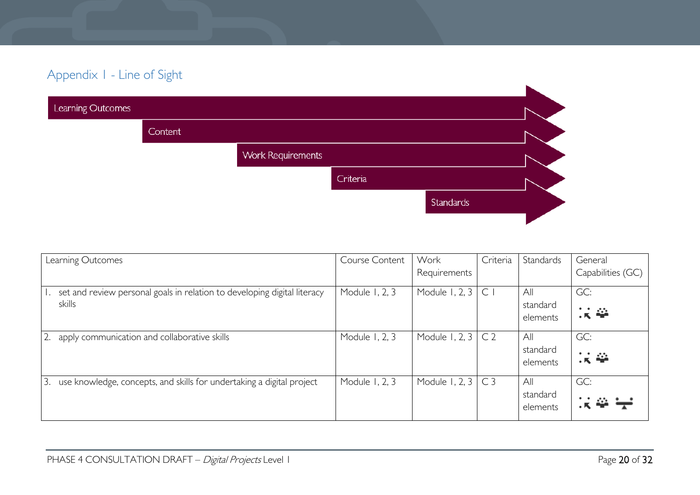# Appendix 1 - Line of Sight

| Learning Outcomes |         |                          |          |                  |  |
|-------------------|---------|--------------------------|----------|------------------|--|
|                   | Content |                          |          |                  |  |
|                   |         | <b>Work Requirements</b> |          |                  |  |
|                   |         |                          | Criteria |                  |  |
|                   |         |                          |          | <b>Standards</b> |  |
|                   |         |                          |          |                  |  |

<span id="page-19-0"></span>

| Learning Outcomes                                                                  | Course Content | Work<br>Requirements | Criteria       | Standards                   | General<br>Capabilities (GC) |
|------------------------------------------------------------------------------------|----------------|----------------------|----------------|-----------------------------|------------------------------|
| set and review personal goals in relation to developing digital literacy<br>skills | Module 1, 2, 3 | Module 1, 2, 3       | $\mathsf{C}$   | All<br>standard<br>elements | GC:<br>误举                    |
| 2.<br>apply communication and collaborative skills                                 | Module 1, 2, 3 | Module 1, 2, 3       | C <sub>2</sub> | All<br>standard<br>elements | GC:<br>误举                    |
| 3.<br>use knowledge, concepts, and skills for undertaking a digital project        | Module 1, 2, 3 | Module 1, 2, 3       | C <sub>3</sub> | All<br>standard<br>elements | GC:                          |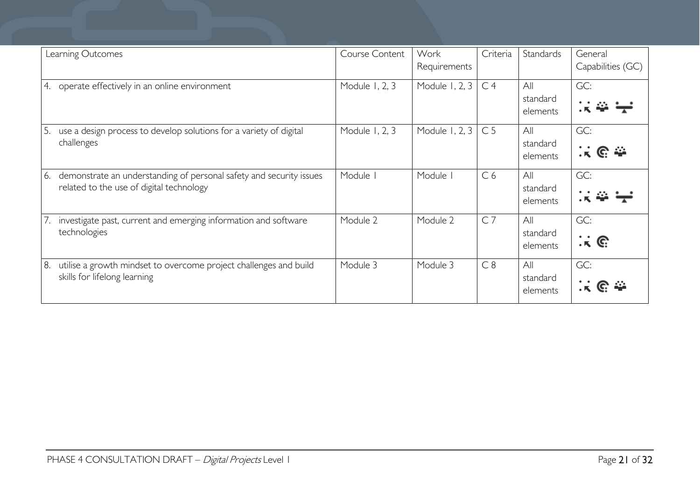| Learning Outcomes                                                                                                     | Course Content | Work<br>Requirements | Criteria       | Standards                   | General<br>Capabilities (GC)             |
|-----------------------------------------------------------------------------------------------------------------------|----------------|----------------------|----------------|-----------------------------|------------------------------------------|
| operate effectively in an online environment<br>4.                                                                    | Module 1, 2, 3 | Module 1, 2, 3       | C <sub>4</sub> | All<br>standard<br>elements | GC:                                      |
| use a design process to develop solutions for a variety of digital<br>5.<br>challenges                                | Module 1, 2, 3 | Module 1, 2, 3       | C <sub>5</sub> | All<br>standard<br>elements | GC:<br><u>ନେ</u> କ                       |
| demonstrate an understanding of personal safety and security issues<br>6.<br>related to the use of digital technology | Module         | Module               | C <sub>6</sub> | All<br>standard<br>elements | GC:                                      |
| investigate past, current and emerging information and software<br>7.<br>technologies                                 | Module 2       | Module 2             | C <sub>7</sub> | All<br>standard<br>elements | GC:<br>$\cdot$ , $\kappa$ . $\mathbb{G}$ |
| utilise a growth mindset to overcome project challenges and build<br>8.<br>skills for lifelong learning               | Module 3       | Module 3             | C8             | All<br>standard<br>elements | GC:<br>$G \rightarrow$                   |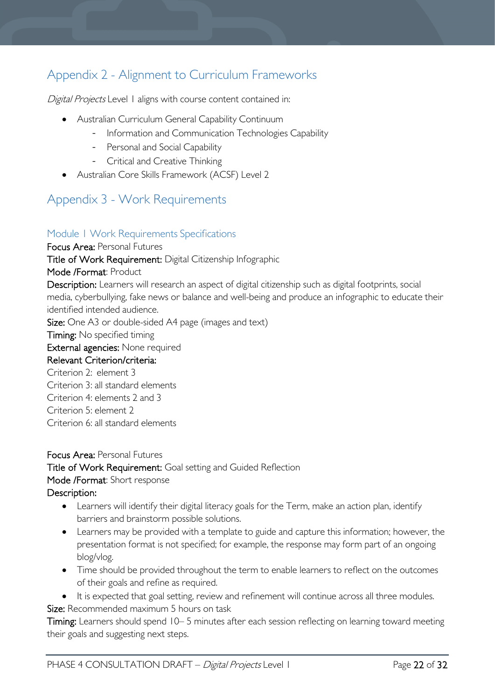# <span id="page-21-0"></span>Appendix 2 - Alignment to Curriculum Frameworks

Digital Projects Level 1 aligns with course content contained in:

- Australian Curriculum General Capability Continuum
	- Information and Communication Technologies Capability
	- Personal and Social Capability
	- Critical and Creative Thinking
- Australian Core Skills Framework (ACSF) Level 2

# <span id="page-21-1"></span>Appendix 3 - Work Requirements

# <span id="page-21-2"></span>Module 1 Work Requirements Specifications

Focus Area: Personal Futures Title of Work Requirement: Digital Citizenship Infographic Mode /Format: Product Description: Learners will research an aspect of digital citizenship such as digital footprints, social media, cyberbullying, fake news or balance and well-being and produce an infographic to educate their identified intended audience. Size: One A3 or double-sided A4 page (images and text) **Timing:** No specified timing

External agencies: None required

# Relevant Criterion/criteria:

Criterion 2: element 3 Criterion 3: all standard elements Criterion 4: elements 2 and 3 Criterion 5: element 2 Criterion 6: all standard elements

Focus Area: Personal Futures Title of Work Requirement: Goal setting and Guided Reflection Mode /Format: Short response Description:

- Learners will identify their digital literacy goals for the Term, make an action plan, identify barriers and brainstorm possible solutions.
- Learners may be provided with a template to guide and capture this information; however, the presentation format is not specified; for example, the response may form part of an ongoing blog/vlog.
- Time should be provided throughout the term to enable learners to reflect on the outcomes of their goals and refine as required.
- It is expected that goal setting, review and refinement will continue across all three modules.

Size: Recommended maximum 5 hours on task

Timing: Learners should spend 10–5 minutes after each session reflecting on learning toward meeting their goals and suggesting next steps.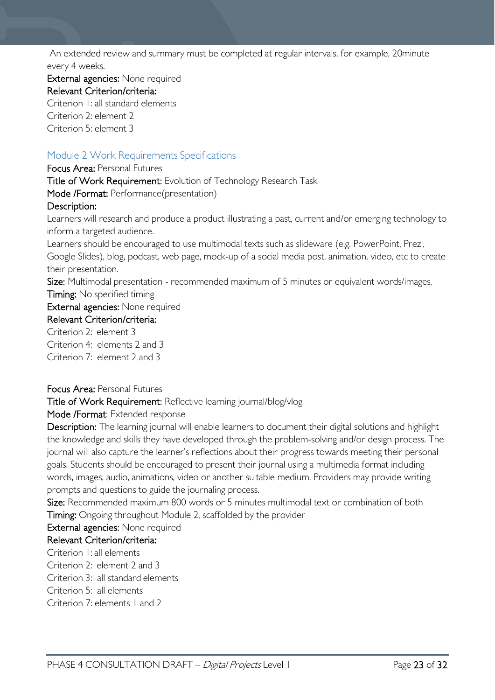An extended review and summary must be completed at regular intervals, for example, 20minute every 4 weeks.

External agencies: None required Relevant Criterion/criteria: Criterion 1: all standard elements Criterion 2: element 2 Criterion 5: element 3

# <span id="page-22-0"></span>Module 2 Work Requirements Specifications

Focus Area: Personal Futures Title of Work Requirement: Evolution of Technology Research Task Mode /Format: Performance(presentation) Description: Learners will research and produce a product illustrating a past, current and/or emerging technology to inform a targeted audience. Learners should be encouraged to use multimodal texts such as slideware (e.g. PowerPoint, Prezi, Google Slides), blog, podcast, web page, mock-up of a social media post, animation, video, etc to create their presentation. Size: Multimodal presentation - recommended maximum of 5 minutes or equivalent words/images. **Timing:** No specified timing External agencies: None required Relevant Criterion/criteria: Criterion 2: element 3 Criterion 4: elements 2 and 3

Criterion 7: element 2 and 3

# Focus Area: Personal Futures

Title of Work Requirement: Reflective learning journal/blog/vlog

Mode /Format: Extended response

Description: The learning journal will enable learners to document their digital solutions and highlight the knowledge and skills they have developed through the problem-solving and/or design process. The journal will also capture the learner's reflections about their progress towards meeting their personal goals. Students should be encouraged to present their journal using a multimedia format including words, images, audio, animations, video or another suitable medium. Providers may provide writing prompts and questions to guide the journaling process.

Size: Recommended maximum 800 words or 5 minutes multimodal text or combination of both Timing: Ongoing throughout Module 2, scaffolded by the provider

# External agencies: None required

# Relevant Criterion/criteria:

Criterion 1: all elements

Criterion 2: element 2 and 3

Criterion 3: all standard elements

Criterion 5: all elements

Criterion 7: elements 1 and 2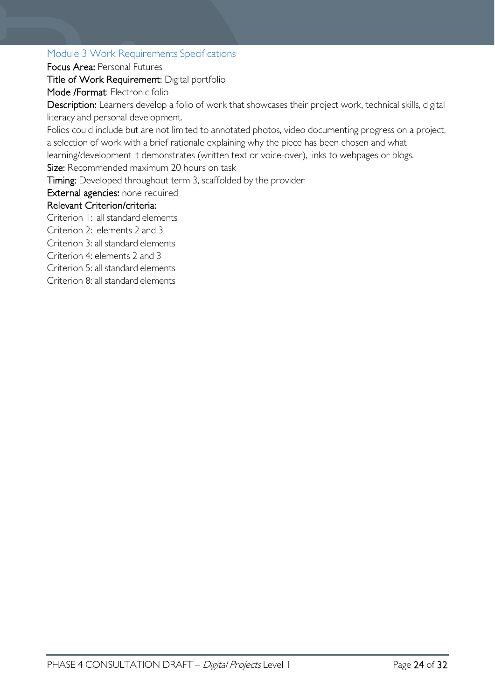# <span id="page-23-0"></span>Module 3 Work Requirements Specifications

Focus Area: Personal Futures

Title of Work Requirement: Digital portfolio

Mode /Format: Electronic folio

Description: Learners develop a folio of work that showcases their project work, technical skills, digital literacy and personal development.

Folios could include but are not limited to annotated photos, video documenting progress on a project, a selection of work with a brief rationale explaining why the piece has been chosen and what learning/development it demonstrates (written text or voice-over), links to webpages or blogs. Size: Recommended maximum 20 hours on task

Timing: Developed throughout term 3, scaffolded by the provider

External agencies: none required

# Relevant Criterion/criteria:

Criterion 1: all standard elements

Criterion 2: elements 2 and 3

Criterion 3: all standard elements

Criterion 4: elements 2 and 3

Criterion 5: all standard elements

Criterion 8: all standard elements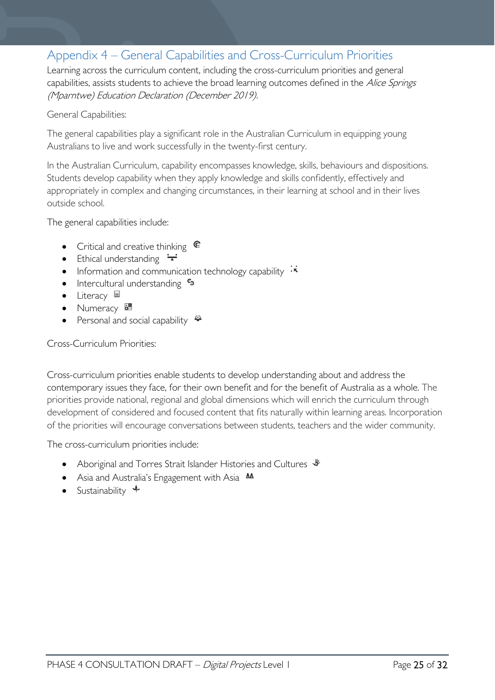# <span id="page-24-0"></span>Appendix 4 – General Capabilities and Cross-Curriculum Priorities

Learning across the curriculum content, including the cross-curriculum priorities and general capabilities, assists students to achieve the broad learning outcomes defined in the Alice Springs (Mparntwe) Education Declaration (December 2019).

### General Capabilities:

The general capabilities play a significant role in the Australian Curriculum in equipping young Australians to live and work successfully in the twenty-first century.

In the Australian Curriculum, capability encompasses knowledge, skills, behaviours and dispositions. Students develop capability when they apply knowledge and skills confidently, effectively and appropriately in complex and changing circumstances, in their learning at school and in their lives outside school.

The general capabilities include:

- Critical and creative thinking  $\mathbb{C}$
- Ethical understanding  $\div$
- Information and communication technology capability  $\cdot \star$
- Intercultural understanding  $\frac{c_3}{ }$
- Literacy  $\blacksquare$
- Numeracy
- Personal and social capability  $\ddot{\ddot{\bullet}}$

# Cross-Curriculum Priorities:

Cross-curriculum priorities enable students to develop understanding about and address the contemporary issues they face, for their own benefit and for the benefit of Australia as a whole. The priorities provide national, regional and global dimensions which will enrich the curriculum through development of considered and focused content that fits naturally within learning areas. Incorporation of the priorities will encourage conversations between students, teachers and the wider community.

The cross-curriculum priorities include:

- Aboriginal and Torres Strait Islander Histories and Cultures  $\mathcal$
- Asia and Australia's Engagement with Asia **M**
- Sustainability  $\triangleleft$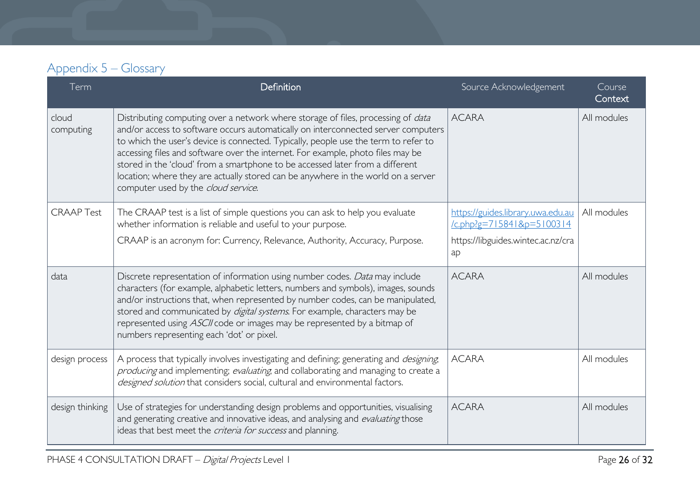# Appendix 5 – Glossary

<span id="page-25-0"></span>

| Term               | Definition                                                                                                                                                                                                                                                                                                                                                                                                                                                                                                                                                          | Source Acknowledgement                                            | Course<br>Context |
|--------------------|---------------------------------------------------------------------------------------------------------------------------------------------------------------------------------------------------------------------------------------------------------------------------------------------------------------------------------------------------------------------------------------------------------------------------------------------------------------------------------------------------------------------------------------------------------------------|-------------------------------------------------------------------|-------------------|
| cloud<br>computing | Distributing computing over a network where storage of files, processing of <i>data</i><br>and/or access to software occurs automatically on interconnected server computers<br>to which the user's device is connected. Typically, people use the term to refer to<br>accessing files and software over the internet. For example, photo files may be<br>stored in the 'cloud' from a smartphone to be accessed later from a different<br>location; where they are actually stored can be anywhere in the world on a server<br>computer used by the cloud service. | <b>ACARA</b>                                                      | All modules       |
| <b>CRAAP Test</b>  | The CRAAP test is a list of simple questions you can ask to help you evaluate<br>whether information is reliable and useful to your purpose.                                                                                                                                                                                                                                                                                                                                                                                                                        | https://guides.library.uwa.edu.au<br>$/c$ .php?g=715841&p=5100314 | All modules       |
|                    | CRAAP is an acronym for: Currency, Relevance, Authority, Accuracy, Purpose.                                                                                                                                                                                                                                                                                                                                                                                                                                                                                         | https://libguides.wintec.ac.nz/cra<br>ap                          |                   |
| data               | Discrete representation of information using number codes. Data may include<br>characters (for example, alphabetic letters, numbers and symbols), images, sounds<br>and/or instructions that, when represented by number codes, can be manipulated,<br>stored and communicated by digital systems. For example, characters may be<br>represented using ASCII code or images may be represented by a bitmap of<br>numbers representing each 'dot' or pixel.                                                                                                          | <b>ACARA</b>                                                      | All modules       |
| design process     | A process that typically involves investigating and defining; generating and <i>designing</i> ,<br>producing and implementing; evaluating, and collaborating and managing to create a<br>designed solution that considers social, cultural and environmental factors.                                                                                                                                                                                                                                                                                               | <b>ACARA</b>                                                      | All modules       |
| design thinking    | Use of strategies for understanding design problems and opportunities, visualising<br>and generating creative and innovative ideas, and analysing and evaluating those<br>ideas that best meet the <i>criteria for success</i> and planning.                                                                                                                                                                                                                                                                                                                        | <b>ACARA</b>                                                      | All modules       |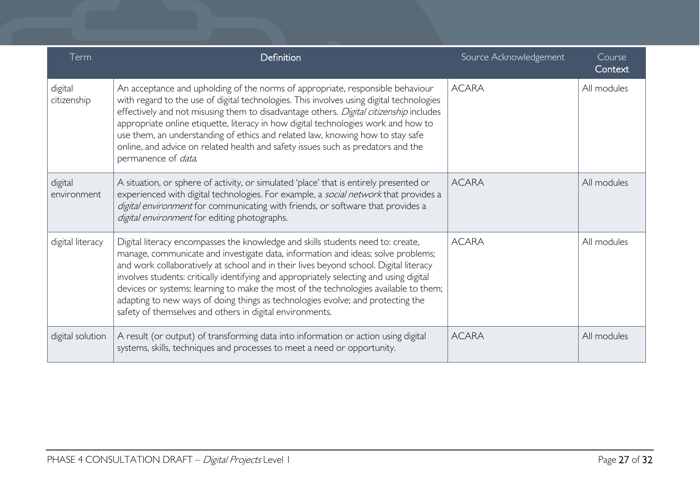| Term                   | Definition                                                                                                                                                                                                                                                                                                                                                                                                                                                                                                                                                                                     | Source Acknowledgement | Course<br>Context |
|------------------------|------------------------------------------------------------------------------------------------------------------------------------------------------------------------------------------------------------------------------------------------------------------------------------------------------------------------------------------------------------------------------------------------------------------------------------------------------------------------------------------------------------------------------------------------------------------------------------------------|------------------------|-------------------|
| digital<br>citizenship | An acceptance and upholding of the norms of appropriate, responsible behaviour<br>with regard to the use of digital technologies. This involves using digital technologies<br>effectively and not misusing them to disadvantage others. Digital citizenship includes<br>appropriate online etiquette, literacy in how digital technologies work and how to<br>use them, an understanding of ethics and related law, knowing how to stay safe<br>online, and advice on related health and safety issues such as predators and the<br>permanence of <i>data</i> .                                | <b>ACARA</b>           | All modules       |
| digital<br>environment | A situation, or sphere of activity, or simulated 'place' that is entirely presented or<br>experienced with digital technologies. For example, a social network that provides a<br>digital environment for communicating with friends, or software that provides a<br>digital environment for editing photographs.                                                                                                                                                                                                                                                                              | <b>ACARA</b>           | All modules       |
| digital literacy       | Digital literacy encompasses the knowledge and skills students need to: create,<br>manage, communicate and investigate data, information and ideas; solve problems;<br>and work collaboratively at school and in their lives beyond school. Digital literacy<br>involves students: critically identifying and appropriately selecting and using digital<br>devices or systems; learning to make the most of the technologies available to them;<br>adapting to new ways of doing things as technologies evolve; and protecting the<br>safety of themselves and others in digital environments. | <b>ACARA</b>           | All modules       |
| digital solution       | A result (or output) of transforming data into information or action using digital<br>systems, skills, techniques and processes to meet a need or opportunity.                                                                                                                                                                                                                                                                                                                                                                                                                                 | <b>ACARA</b>           | All modules       |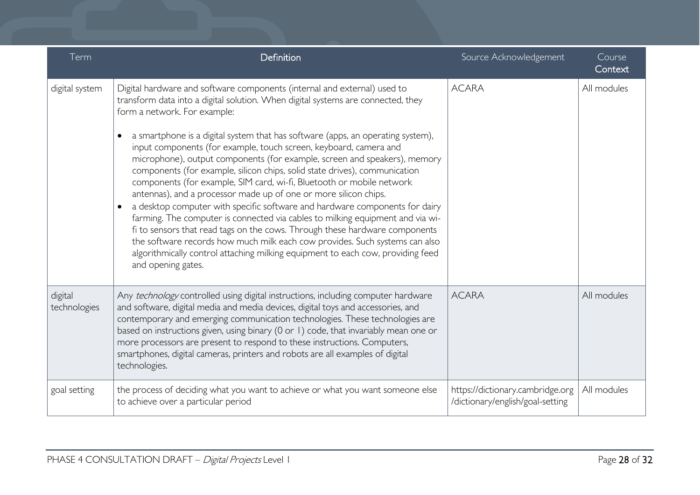| Term                    | Definition                                                                                                                                                                                                                                                                                                                                                                                                                                                                                                                                                                                                                                                                                                                                                                                                                                                                                                                                                                                                                                                                                           | Source Acknowledgement                                               | Course<br>Context |
|-------------------------|------------------------------------------------------------------------------------------------------------------------------------------------------------------------------------------------------------------------------------------------------------------------------------------------------------------------------------------------------------------------------------------------------------------------------------------------------------------------------------------------------------------------------------------------------------------------------------------------------------------------------------------------------------------------------------------------------------------------------------------------------------------------------------------------------------------------------------------------------------------------------------------------------------------------------------------------------------------------------------------------------------------------------------------------------------------------------------------------------|----------------------------------------------------------------------|-------------------|
| digital system          | Digital hardware and software components (internal and external) used to<br>transform data into a digital solution. When digital systems are connected, they<br>form a network. For example:<br>a smartphone is a digital system that has software (apps, an operating system),<br>input components (for example, touch screen, keyboard, camera and<br>microphone), output components (for example, screen and speakers), memory<br>components (for example, silicon chips, solid state drives), communication<br>components (for example, SIM card, wi-fi, Bluetooth or mobile network<br>antennas), and a processor made up of one or more silicon chips.<br>a desktop computer with specific software and hardware components for dairy<br>farming. The computer is connected via cables to milking equipment and via wi-<br>fi to sensors that read tags on the cows. Through these hardware components<br>the software records how much milk each cow provides. Such systems can also<br>algorithmically control attaching milking equipment to each cow, providing feed<br>and opening gates. | <b>ACARA</b>                                                         | All modules       |
| digital<br>technologies | Any technology controlled using digital instructions, including computer hardware<br>and software, digital media and media devices, digital toys and accessories, and<br>contemporary and emerging communication technologies. These technologies are<br>based on instructions given, using binary (0 or 1) code, that invariably mean one or<br>more processors are present to respond to these instructions. Computers,<br>smartphones, digital cameras, printers and robots are all examples of digital<br>technologies.                                                                                                                                                                                                                                                                                                                                                                                                                                                                                                                                                                          | <b>ACARA</b>                                                         | All modules       |
| goal setting            | the process of deciding what you want to achieve or what you want someone else<br>to achieve over a particular period                                                                                                                                                                                                                                                                                                                                                                                                                                                                                                                                                                                                                                                                                                                                                                                                                                                                                                                                                                                | https://dictionary.cambridge.org<br>/dictionary/english/goal-setting | All modules       |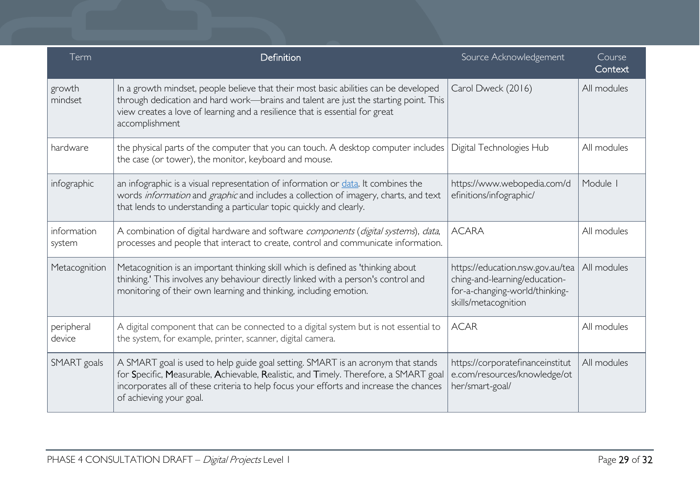| Term                  | Definition                                                                                                                                                                                                                                                                                    | Source Acknowledgement                                                                                                      | Course<br>Context |
|-----------------------|-----------------------------------------------------------------------------------------------------------------------------------------------------------------------------------------------------------------------------------------------------------------------------------------------|-----------------------------------------------------------------------------------------------------------------------------|-------------------|
| growth<br>mindset     | In a growth mindset, people believe that their most basic abilities can be developed<br>through dedication and hard work—brains and talent are just the starting point. This<br>view creates a love of learning and a resilience that is essential for great<br>accomplishment                | Carol Dweck (2016)                                                                                                          | All modules       |
| hardware              | the physical parts of the computer that you can touch. A desktop computer includes<br>the case (or tower), the monitor, keyboard and mouse.                                                                                                                                                   | Digital Technologies Hub                                                                                                    | All modules       |
| infographic           | an infographic is a visual representation of information or data. It combines the<br>words information and graphic and includes a collection of imagery, charts, and text<br>that lends to understanding a particular topic quickly and clearly.                                              | https://www.webopedia.com/d<br>efinitions/infographic/                                                                      | Module            |
| information<br>system | A combination of digital hardware and software components (digital systems), data,<br>processes and people that interact to create, control and communicate information.                                                                                                                      | <b>ACARA</b>                                                                                                                | All modules       |
| Metacognition         | Metacognition is an important thinking skill which is defined as 'thinking about<br>thinking.' This involves any behaviour directly linked with a person's control and<br>monitoring of their own learning and thinking, including emotion.                                                   | https://education.nsw.gov.au/tea<br>ching-and-learning/education-<br>for-a-changing-world/thinking-<br>skills/metacognition | All modules       |
| peripheral<br>device  | A digital component that can be connected to a digital system but is not essential to<br>the system, for example, printer, scanner, digital camera.                                                                                                                                           | <b>ACAR</b>                                                                                                                 | All modules       |
| SMART goals           | A SMART goal is used to help guide goal setting. SMART is an acronym that stands<br>for Specific, Measurable, Achievable, Realistic, and Timely. Therefore, a SMART goal<br>incorporates all of these criteria to help focus your efforts and increase the chances<br>of achieving your goal. | https://corporatefinanceinstitut<br>e.com/resources/knowledge/ot<br>her/smart-goal/                                         | All modules       |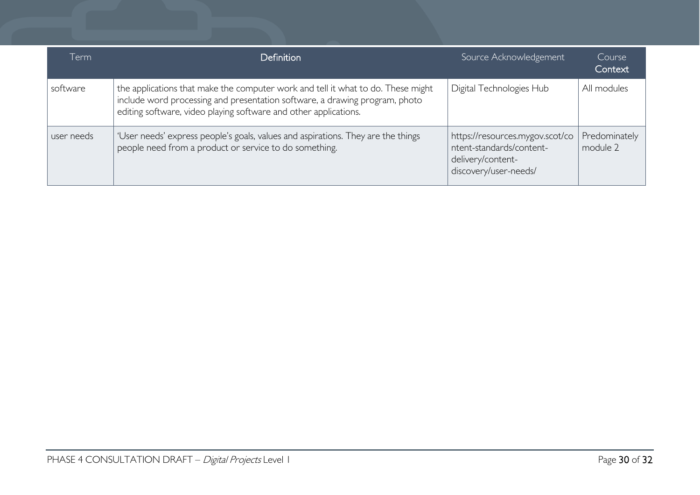| Term       | <b>Definition</b>                                                                                                                                                                                                                   | Source Acknowledgement                                                                                    | Course<br>Context         |
|------------|-------------------------------------------------------------------------------------------------------------------------------------------------------------------------------------------------------------------------------------|-----------------------------------------------------------------------------------------------------------|---------------------------|
| software   | the applications that make the computer work and tell it what to do. These might<br>include word processing and presentation software, a drawing program, photo<br>editing software, video playing software and other applications. | Digital Technologies Hub                                                                                  | All modules               |
| user needs | 'User needs' express people's goals, values and aspirations. They are the things<br>people need from a product or service to do something.                                                                                          | https://resources.mygov.scot/co<br>ntent-standards/content-<br>delivery/content-<br>discovery/user-needs/ | Predominately<br>module 2 |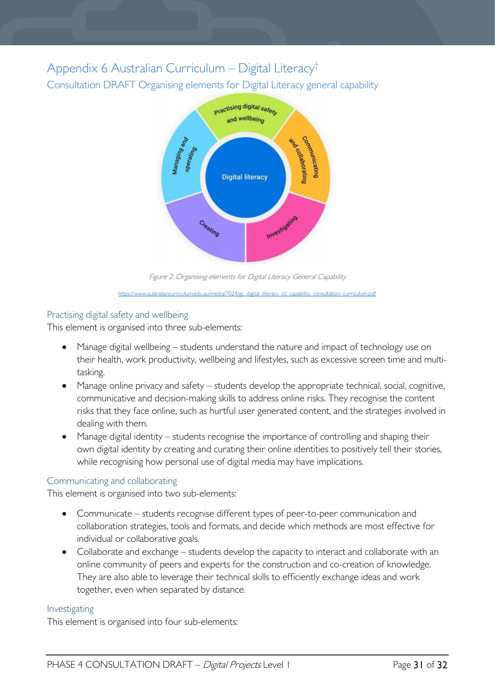# <span id="page-30-1"></span><span id="page-30-0"></span>Appendix 6 Australian Curriculum – Digital Literacy† Consultation DRAFT Organising elements for Digital Literacy general capability



Figure 2: Organising elements for Digital Literacy General Capability [https://www.australiancurriculum.edu.au/media/7024/gc\\_digital\\_literacy\\_ict\\_capability\\_consultation\\_curriculum.pdf](https://www.australiancurriculum.edu.au/media/7024/gc_digital_literacy_ict_capability_consultation_curriculum.pdf)

# <span id="page-30-2"></span>Practising digital safety and wellbeing

This element is organised into three sub-elements:

- Manage digital wellbeing students understand the nature and impact of technology use on their health, work productivity, wellbeing and lifestyles, such as excessive screen time and multitasking.
- Manage online privacy and safety students develop the appropriate technical, social, cognitive, communicative and decision-making skills to address online risks. They recognise the content risks that they face online, such as hurtful user generated content, and the strategies involved in dealing with them.
- Manage digital identity students recognise the importance of controlling and shaping their own digital identity by creating and curating their online identities to positively tell their stories, while recognising how personal use of digital media may have implications.

# <span id="page-30-3"></span>Communicating and collaborating

This element is organised into two sub-elements:

- Communicate students recognise different types of peer-to-peer communication and collaboration strategies, tools and formats, and decide which methods are most effective for individual or collaborative goals.
- Collaborate and exchange students develop the capacity to interact and collaborate with an online community of peers and experts for the construction and co-creation of knowledge. They are also able to leverage their technical skills to efficiently exchange ideas and work together, even when separated by distance.

# <span id="page-30-4"></span>Investigating

This element is organised into four sub-elements: